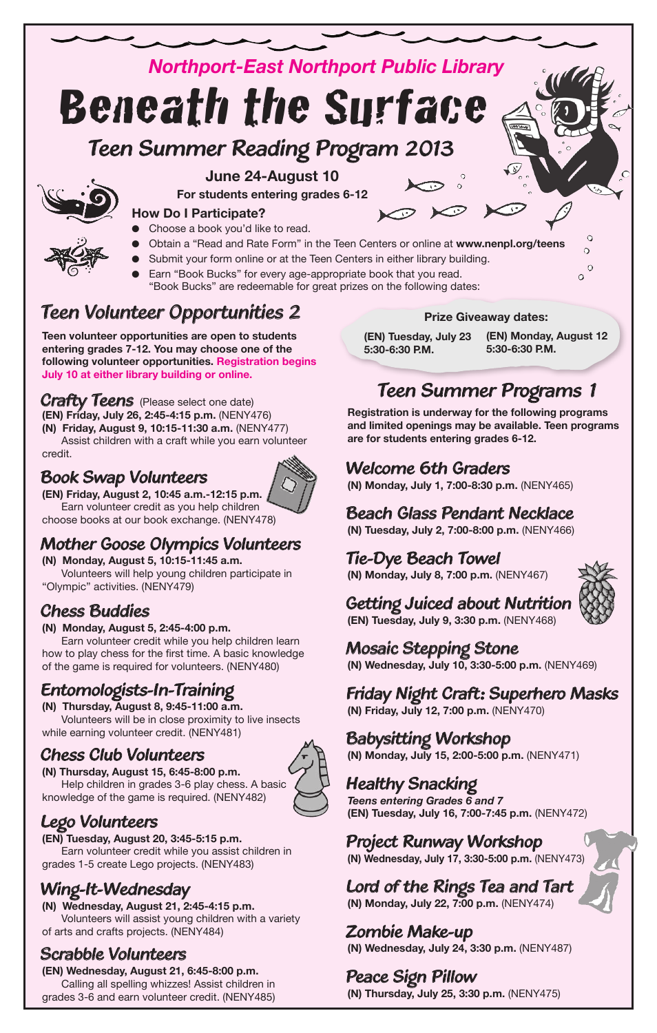# *Northport-East Northport Public Library Teen Summer Reading Program <sup>2013</sup>* Beneath the Surface



### **June 24-August 10**

**For students entering grades 6-12**

### **How Do I Participate?**

- Choose a book you'd like to read.
- l Obtain a "Read and Rate Form" in the Teen Centers or online at **www.nenpl.org/teens**
- Submit your form online or at the Teen Centers in either library building.
- Earn "Book Bucks" for every age-appropriate book that you read. "Book Bucks" are redeemable for great prizes on the following dates:

### *Teen Volunteer Opportunities 2*

**Teen volunteer opportunities are open to students entering grades 7-12. You may choose one of the following volunteer opportunities. Registration begins July 10 at either library building or online.**

*Crafty Teens* (Please select one date) **(EN) Friday, July 26, 2:45-4:15 p.m.** (NENY476) **(N) Friday, August 9, 10:15-11:30 a.m.** (NENY477)

Assist children with a craft while you earn volunteer credit.

### *Book Swap Volunteers*



**(EN) Friday, August 2, 10:45 a.m.-12:15 p.m.** Earn volunteer credit as you help children choose books at our book exchange. (NENY478)

### *Mother Goose Olympics Volunteers*

**(N) Monday, August 5, 10:15-11:45 a.m.**

Volunteers will help young children participate in "Olympic" activities. (NENY479)

### *Chess Buddies*

**(N) Monday, August 5, 2:45-4:00 p.m.**

Earn volunteer credit while you help children learn how to play chess for the first time. A basic knowledge of the game is required for volunteers. (NENY480)

### *Entomologists-In-Training*

**(N) Thursday, August 8, 9:45-11:00 a.m.** Volunteers will be in close proximity to live insects while earning volunteer credit. (NENY481)

### *Chess Club Volunteers*

**(N) Thursday, August 15, 6:45-8:00 p.m.** Help children in grades 3-6 play chess. A basic knowledge of the game is required. (NENY482)



### *Lego Volunteers*

**(EN) Tuesday, August 20, 3:45-5:15 p.m.** Earn volunteer credit while you assist children in grades 1-5 create Lego projects. (NENY483)

### *Wing-It-Wednesday*

**(N) Wednesday, August 21, 2:45-4:15 p.m.** Volunteers will assist young children with a variety of arts and crafts projects. (NENY484)

### *Scrabble Volunteers*

**(EN) Wednesday, August 21, 6:45-8:00 p.m.** Calling all spelling whizzes! Assist children in grades 3-6 and earn volunteer credit. (NENY485)

### **Prize Giveaway dates:**

**(EN) Tuesday, July 23 5:30-6:30 P.M.**

**(EN) Monday, August 12 5:30-6:30 P.M.**

# *Teen Summer Programs 1*

**Registration is underway for the following programs and limited openings may be available. Teen programs are for students entering grades 6-12.** 

### *Welcome 6th Graders*

**(N) Monday, July 1, 7:00-8:30 p.m.** (NENY465)

### *Beach Glass Pendant Necklace*

**(N) Tuesday, July 2, 7:00-8:00 p.m.** (NENY466)

### *Tie-Dye Beach Towel*

**(N) Monday, July 8, 7:00 p.m.** (NENY467)



### *Getting Juiced about Nutrition* **(EN) Tuesday, July 9, 3:30 p.m.** (NENY468)

*Mosaic Stepping Stone* **(N) Wednesday, July 10, 3:30-5:00 p.m.** (NENY469)

### *Friday Night Craft: Superhero Masks*

**(N) Friday, July 12, 7:00 p.m.** (NENY470)

# *Babysitting Workshop*

**(N) Monday, July 15, 2:00-5:00 p.m.** (NENY471)

### *Healthy Snacking*

*Teens entering Grades 6 and 7* **(EN) Tuesday, July 16, 7:00-7:45 p.m.** (NENY472)

### *Project Runway Workshop*

**(N) Wednesday, July 17, 3:30-5:00 p.m.** (NENY473)

### *Lord of the Rings Tea and Tart* **(N) Monday, July 22, 7:00 p.m.** (NENY474)

*Zombie Make-up* **(N) Wednesday, July 24, 3:30 p.m.** (NENY487)

### *Peace Sign Pillow*

**(N) Thursday, July 25, 3:30 p.m.** (NENY475)